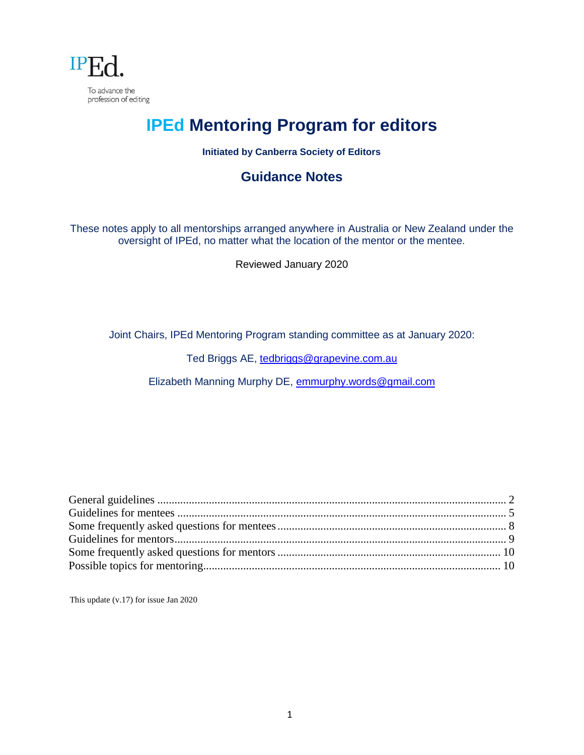

# **IPEd Mentoring Program for editors**

### **Initiated by Canberra Society of Editors**

### **Guidance Notes**

These notes apply to all mentorships arranged anywhere in Australia or New Zealand under the oversight of IPEd, no matter what the location of the mentor or the mentee.

Reviewed January 2020

Joint Chairs, IPEd Mentoring Program standing committee as at January 2020:

Ted Briggs AE, [tedbriggs@grapevine.com.au](mailto:tedbriggs@grapevine.com.au)

Elizabeth Manning Murphy DE, [emmurphy.words@gmail.com](mailto:emmurphy.words@gmail.com)

This update (v.17) for issue Jan 2020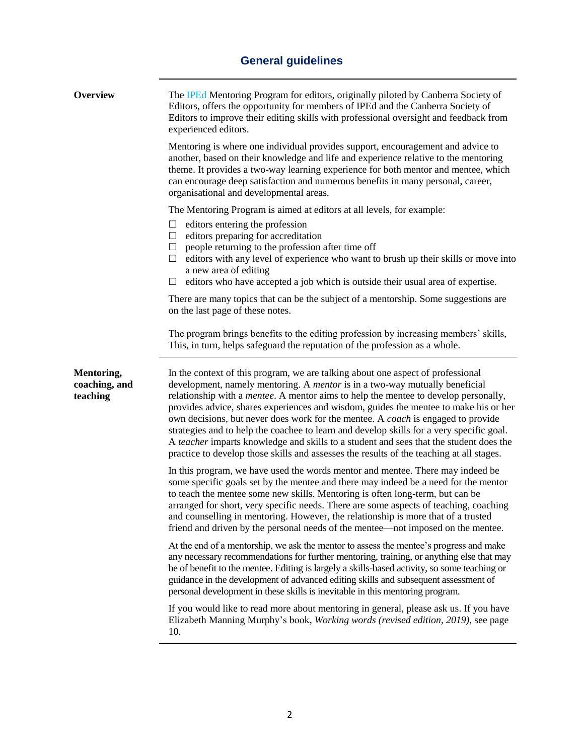# **General guidelines**

<span id="page-1-0"></span>

| <b>Overview</b>                         | The IPEd Mentoring Program for editors, originally piloted by Canberra Society of<br>Editors, offers the opportunity for members of IPEd and the Canberra Society of<br>Editors to improve their editing skills with professional oversight and feedback from<br>experienced editors.                                                                                                                                                                                                                                                                                                                                                                                                                                              |
|-----------------------------------------|------------------------------------------------------------------------------------------------------------------------------------------------------------------------------------------------------------------------------------------------------------------------------------------------------------------------------------------------------------------------------------------------------------------------------------------------------------------------------------------------------------------------------------------------------------------------------------------------------------------------------------------------------------------------------------------------------------------------------------|
|                                         | Mentoring is where one individual provides support, encouragement and advice to<br>another, based on their knowledge and life and experience relative to the mentoring<br>theme. It provides a two-way learning experience for both mentor and mentee, which<br>can encourage deep satisfaction and numerous benefits in many personal, career,<br>organisational and developmental areas.                                                                                                                                                                                                                                                                                                                                         |
|                                         | The Mentoring Program is aimed at editors at all levels, for example:                                                                                                                                                                                                                                                                                                                                                                                                                                                                                                                                                                                                                                                              |
|                                         | editors entering the profession<br>ப<br>editors preparing for accreditation<br>ப<br>people returning to the profession after time off<br>ப<br>editors with any level of experience who want to brush up their skills or move into<br>ш<br>a new area of editing                                                                                                                                                                                                                                                                                                                                                                                                                                                                    |
|                                         | editors who have accepted a job which is outside their usual area of expertise.<br>ப                                                                                                                                                                                                                                                                                                                                                                                                                                                                                                                                                                                                                                               |
| Mentoring,<br>coaching, and<br>teaching | There are many topics that can be the subject of a mentorship. Some suggestions are<br>on the last page of these notes.                                                                                                                                                                                                                                                                                                                                                                                                                                                                                                                                                                                                            |
|                                         | The program brings benefits to the editing profession by increasing members' skills,<br>This, in turn, helps safeguard the reputation of the profession as a whole.                                                                                                                                                                                                                                                                                                                                                                                                                                                                                                                                                                |
|                                         | In the context of this program, we are talking about one aspect of professional<br>development, namely mentoring. A <i>mentor</i> is in a two-way mutually beneficial<br>relationship with a <i>mentee</i> . A mentor aims to help the mentee to develop personally,<br>provides advice, shares experiences and wisdom, guides the mentee to make his or her<br>own decisions, but never does work for the mentee. A coach is engaged to provide<br>strategies and to help the coachee to learn and develop skills for a very specific goal.<br>A teacher imparts knowledge and skills to a student and sees that the student does the<br>practice to develop those skills and assesses the results of the teaching at all stages. |
|                                         | In this program, we have used the words mentor and mentee. There may indeed be<br>some specific goals set by the mentee and there may indeed be a need for the mentor<br>to teach the mentee some new skills. Mentoring is often long-term, but can be<br>arranged for short, very specific needs. There are some aspects of teaching, coaching<br>and counselling in mentoring. However, the relationship is more that of a trusted<br>friend and driven by the personal needs of the mentee—not imposed on the mentee.                                                                                                                                                                                                           |
|                                         | At the end of a mentorship, we ask the mentor to assess the mentee's progress and make<br>any necessary recommendations for further mentoring, training, or anything else that may<br>be of benefit to the mentee. Editing is largely a skills-based activity, so some teaching or<br>guidance in the development of advanced editing skills and subsequent assessment of<br>personal development in these skills is inevitable in this mentoring program.                                                                                                                                                                                                                                                                         |
|                                         | If you would like to read more about mentoring in general, please ask us. If you have<br>Elizabeth Manning Murphy's book, Working words (revised edition, 2019), see page<br>10.                                                                                                                                                                                                                                                                                                                                                                                                                                                                                                                                                   |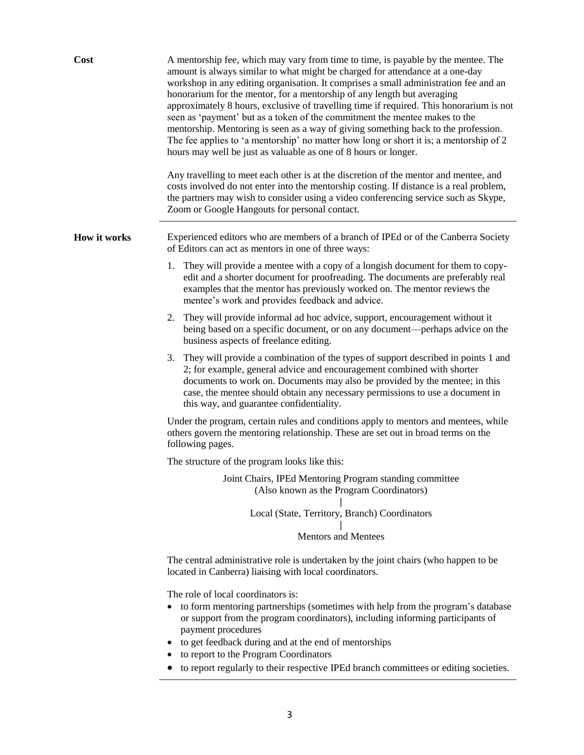| Cost         | A mentorship fee, which may vary from time to time, is payable by the mentee. The<br>amount is always similar to what might be charged for attendance at a one-day<br>workshop in any editing organisation. It comprises a small administration fee and an<br>honorarium for the mentor, for a mentorship of any length but averaging<br>approximately 8 hours, exclusive of travelling time if required. This honorarium is not<br>seen as 'payment' but as a token of the commitment the mentee makes to the<br>mentorship. Mentoring is seen as a way of giving something back to the profession.<br>The fee applies to 'a mentorship' no matter how long or short it is; a mentorship of 2<br>hours may well be just as valuable as one of 8 hours or longer.<br>Any travelling to meet each other is at the discretion of the mentor and mentee, and<br>costs involved do not enter into the mentorship costing. If distance is a real problem,<br>the partners may wish to consider using a video conferencing service such as Skype,<br>Zoom or Google Hangouts for personal contact. |
|--------------|----------------------------------------------------------------------------------------------------------------------------------------------------------------------------------------------------------------------------------------------------------------------------------------------------------------------------------------------------------------------------------------------------------------------------------------------------------------------------------------------------------------------------------------------------------------------------------------------------------------------------------------------------------------------------------------------------------------------------------------------------------------------------------------------------------------------------------------------------------------------------------------------------------------------------------------------------------------------------------------------------------------------------------------------------------------------------------------------|
| How it works | Experienced editors who are members of a branch of IPEd or of the Canberra Society<br>of Editors can act as mentors in one of three ways:                                                                                                                                                                                                                                                                                                                                                                                                                                                                                                                                                                                                                                                                                                                                                                                                                                                                                                                                                    |
|              | 1. They will provide a mentee with a copy of a longish document for them to copy-<br>edit and a shorter document for proofreading. The documents are preferably real<br>examples that the mentor has previously worked on. The mentor reviews the<br>mentee's work and provides feedback and advice.                                                                                                                                                                                                                                                                                                                                                                                                                                                                                                                                                                                                                                                                                                                                                                                         |
|              | 2.<br>They will provide informal ad hoc advice, support, encouragement without it<br>being based on a specific document, or on any document—perhaps advice on the<br>business aspects of freelance editing.                                                                                                                                                                                                                                                                                                                                                                                                                                                                                                                                                                                                                                                                                                                                                                                                                                                                                  |
|              | 3. They will provide a combination of the types of support described in points 1 and<br>2; for example, general advice and encouragement combined with shorter<br>documents to work on. Documents may also be provided by the mentee; in this<br>case, the mentee should obtain any necessary permissions to use a document in<br>this way, and guarantee confidentiality.                                                                                                                                                                                                                                                                                                                                                                                                                                                                                                                                                                                                                                                                                                                   |
|              | Under the program, certain rules and conditions apply to mentors and mentees, while<br>others govern the mentoring relationship. These are set out in broad terms on the<br>following pages.                                                                                                                                                                                                                                                                                                                                                                                                                                                                                                                                                                                                                                                                                                                                                                                                                                                                                                 |
|              | The structure of the program looks like this:                                                                                                                                                                                                                                                                                                                                                                                                                                                                                                                                                                                                                                                                                                                                                                                                                                                                                                                                                                                                                                                |
|              | Joint Chairs, IPEd Mentoring Program standing committee<br>(Also known as the Program Coordinators)                                                                                                                                                                                                                                                                                                                                                                                                                                                                                                                                                                                                                                                                                                                                                                                                                                                                                                                                                                                          |
|              | Local (State, Territory, Branch) Coordinators                                                                                                                                                                                                                                                                                                                                                                                                                                                                                                                                                                                                                                                                                                                                                                                                                                                                                                                                                                                                                                                |
|              | <b>Mentors and Mentees</b>                                                                                                                                                                                                                                                                                                                                                                                                                                                                                                                                                                                                                                                                                                                                                                                                                                                                                                                                                                                                                                                                   |
|              | The central administrative role is undertaken by the joint chairs (who happen to be<br>located in Canberra) liaising with local coordinators.                                                                                                                                                                                                                                                                                                                                                                                                                                                                                                                                                                                                                                                                                                                                                                                                                                                                                                                                                |
|              | The role of local coordinators is:<br>to form mentoring partnerships (sometimes with help from the program's database<br>or support from the program coordinators), including informing participants of<br>payment procedures<br>to get feedback during and at the end of mentorships<br>to report to the Program Coordinators                                                                                                                                                                                                                                                                                                                                                                                                                                                                                                                                                                                                                                                                                                                                                               |

to report regularly to their respective IPEd branch committees or editing societies.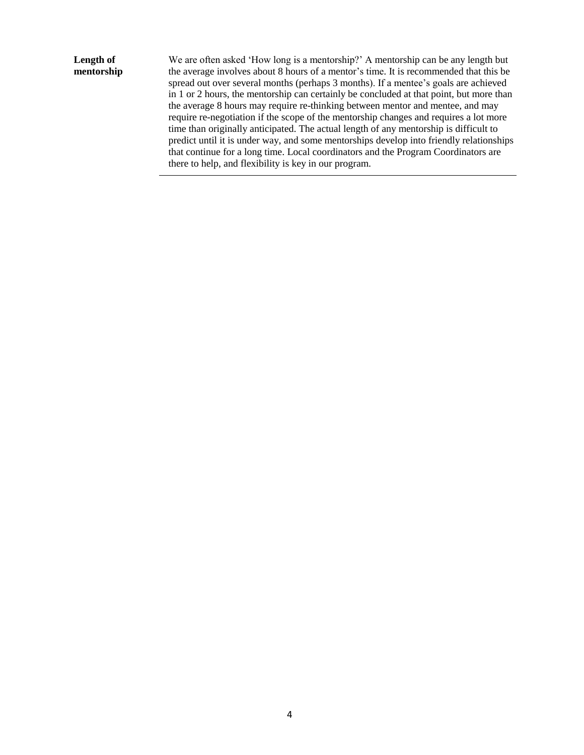### **Length of mentorship**

We are often asked 'How long is a mentorship?' A mentorship can be any length but the average involves about 8 hours of a mentor's time. It is recommended that this be spread out over several months (perhaps 3 months). If a mentee's goals are achieved in 1 or 2 hours, the mentorship can certainly be concluded at that point, but more than the average 8 hours may require re-thinking between mentor and mentee, and may require re-negotiation if the scope of the mentorship changes and requires a lot more time than originally anticipated. The actual length of any mentorship is difficult to predict until it is under way, and some mentorships develop into friendly relationships that continue for a long time. Local coordinators and the Program Coordinators are there to help, and flexibility is key in our program.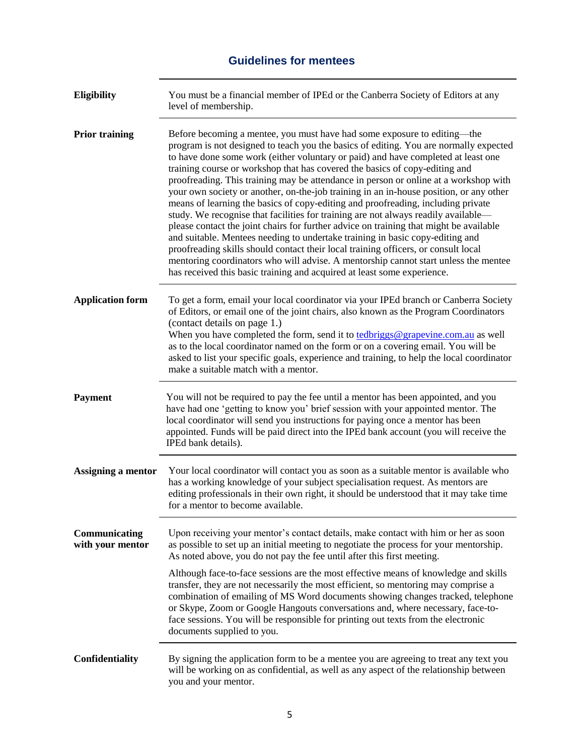# **Guidelines for mentees**

<span id="page-4-0"></span>

| Eligibility                       | You must be a financial member of IPEd or the Canberra Society of Editors at any<br>level of membership.                                                                                                                                                                                                                                                                                                                                                                                                                                                                                                                                                                                                                                                                                                                                                                                                                                                                                                                                                                                                                             |
|-----------------------------------|--------------------------------------------------------------------------------------------------------------------------------------------------------------------------------------------------------------------------------------------------------------------------------------------------------------------------------------------------------------------------------------------------------------------------------------------------------------------------------------------------------------------------------------------------------------------------------------------------------------------------------------------------------------------------------------------------------------------------------------------------------------------------------------------------------------------------------------------------------------------------------------------------------------------------------------------------------------------------------------------------------------------------------------------------------------------------------------------------------------------------------------|
| <b>Prior training</b>             | Before becoming a mentee, you must have had some exposure to editing—the<br>program is not designed to teach you the basics of editing. You are normally expected<br>to have done some work (either voluntary or paid) and have completed at least one<br>training course or workshop that has covered the basics of copy-editing and<br>proofreading. This training may be attendance in person or online at a workshop with<br>your own society or another, on-the-job training in an in-house position, or any other<br>means of learning the basics of copy-editing and proofreading, including private<br>study. We recognise that facilities for training are not always readily available—<br>please contact the joint chairs for further advice on training that might be available<br>and suitable. Mentees needing to undertake training in basic copy-editing and<br>proofreading skills should contact their local training officers, or consult local<br>mentoring coordinators who will advise. A mentorship cannot start unless the mentee<br>has received this basic training and acquired at least some experience. |
| <b>Application form</b>           | To get a form, email your local coordinator via your IPEd branch or Canberra Society<br>of Editors, or email one of the joint chairs, also known as the Program Coordinators<br>(contact details on page 1.)<br>When you have completed the form, send it to tedbriggs@grapevine.com.au as well<br>as to the local coordinator named on the form or on a covering email. You will be<br>asked to list your specific goals, experience and training, to help the local coordinator<br>make a suitable match with a mentor.                                                                                                                                                                                                                                                                                                                                                                                                                                                                                                                                                                                                            |
| <b>Payment</b>                    | You will not be required to pay the fee until a mentor has been appointed, and you<br>have had one 'getting to know you' brief session with your appointed mentor. The<br>local coordinator will send you instructions for paying once a mentor has been<br>appointed. Funds will be paid direct into the IPEd bank account (you will receive the<br>IPEd bank details).                                                                                                                                                                                                                                                                                                                                                                                                                                                                                                                                                                                                                                                                                                                                                             |
| Assigning a mentor                | Your local coordinator will contact you as soon as a suitable mentor is available who<br>has a working knowledge of your subject specialisation request. As mentors are<br>editing professionals in their own right, it should be understood that it may take time<br>for a mentor to become available.                                                                                                                                                                                                                                                                                                                                                                                                                                                                                                                                                                                                                                                                                                                                                                                                                              |
| Communicating<br>with your mentor | Upon receiving your mentor's contact details, make contact with him or her as soon<br>as possible to set up an initial meeting to negotiate the process for your mentorship.<br>As noted above, you do not pay the fee until after this first meeting.                                                                                                                                                                                                                                                                                                                                                                                                                                                                                                                                                                                                                                                                                                                                                                                                                                                                               |
|                                   | Although face-to-face sessions are the most effective means of knowledge and skills<br>transfer, they are not necessarily the most efficient, so mentoring may comprise a<br>combination of emailing of MS Word documents showing changes tracked, telephone<br>or Skype, Zoom or Google Hangouts conversations and, where necessary, face-to-<br>face sessions. You will be responsible for printing out texts from the electronic<br>documents supplied to you.                                                                                                                                                                                                                                                                                                                                                                                                                                                                                                                                                                                                                                                                    |
| Confidentiality                   | By signing the application form to be a mentee you are agreeing to treat any text you<br>will be working on as confidential, as well as any aspect of the relationship between<br>you and your mentor.                                                                                                                                                                                                                                                                                                                                                                                                                                                                                                                                                                                                                                                                                                                                                                                                                                                                                                                               |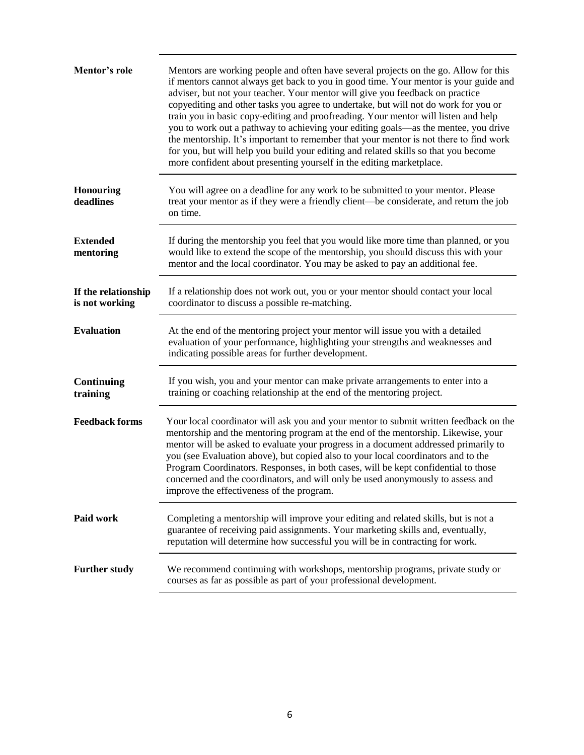| Mentor's role                         | Mentors are working people and often have several projects on the go. Allow for this<br>if mentors cannot always get back to you in good time. Your mentor is your guide and<br>adviser, but not your teacher. Your mentor will give you feedback on practice<br>copyediting and other tasks you agree to undertake, but will not do work for you or<br>train you in basic copy-editing and proofreading. Your mentor will listen and help<br>you to work out a pathway to achieving your editing goals-as the mentee, you drive<br>the mentorship. It's important to remember that your mentor is not there to find work<br>for you, but will help you build your editing and related skills so that you become<br>more confident about presenting yourself in the editing marketplace. |
|---------------------------------------|------------------------------------------------------------------------------------------------------------------------------------------------------------------------------------------------------------------------------------------------------------------------------------------------------------------------------------------------------------------------------------------------------------------------------------------------------------------------------------------------------------------------------------------------------------------------------------------------------------------------------------------------------------------------------------------------------------------------------------------------------------------------------------------|
| <b>Honouring</b><br>deadlines         | You will agree on a deadline for any work to be submitted to your mentor. Please<br>treat your mentor as if they were a friendly client—be considerate, and return the job<br>on time.                                                                                                                                                                                                                                                                                                                                                                                                                                                                                                                                                                                                   |
| <b>Extended</b><br>mentoring          | If during the mentorship you feel that you would like more time than planned, or you<br>would like to extend the scope of the mentorship, you should discuss this with your<br>mentor and the local coordinator. You may be asked to pay an additional fee.                                                                                                                                                                                                                                                                                                                                                                                                                                                                                                                              |
| If the relationship<br>is not working | If a relationship does not work out, you or your mentor should contact your local<br>coordinator to discuss a possible re-matching.                                                                                                                                                                                                                                                                                                                                                                                                                                                                                                                                                                                                                                                      |
| <b>Evaluation</b>                     | At the end of the mentoring project your mentor will issue you with a detailed<br>evaluation of your performance, highlighting your strengths and weaknesses and<br>indicating possible areas for further development.                                                                                                                                                                                                                                                                                                                                                                                                                                                                                                                                                                   |
| <b>Continuing</b><br>training         | If you wish, you and your mentor can make private arrangements to enter into a<br>training or coaching relationship at the end of the mentoring project.                                                                                                                                                                                                                                                                                                                                                                                                                                                                                                                                                                                                                                 |
| <b>Feedback forms</b>                 | Your local coordinator will ask you and your mentor to submit written feedback on the<br>mentorship and the mentoring program at the end of the mentorship. Likewise, your<br>mentor will be asked to evaluate your progress in a document addressed primarily to<br>you (see Evaluation above), but copied also to your local coordinators and to the<br>Program Coordinators. Responses, in both cases, will be kept confidential to those<br>concerned and the coordinators, and will only be used anonymously to assess and<br>improve the effectiveness of the program.                                                                                                                                                                                                             |
| Paid work                             | Completing a mentorship will improve your editing and related skills, but is not a<br>guarantee of receiving paid assignments. Your marketing skills and, eventually,<br>reputation will determine how successful you will be in contracting for work.                                                                                                                                                                                                                                                                                                                                                                                                                                                                                                                                   |
| <b>Further study</b>                  | We recommend continuing with workshops, mentorship programs, private study or<br>courses as far as possible as part of your professional development.                                                                                                                                                                                                                                                                                                                                                                                                                                                                                                                                                                                                                                    |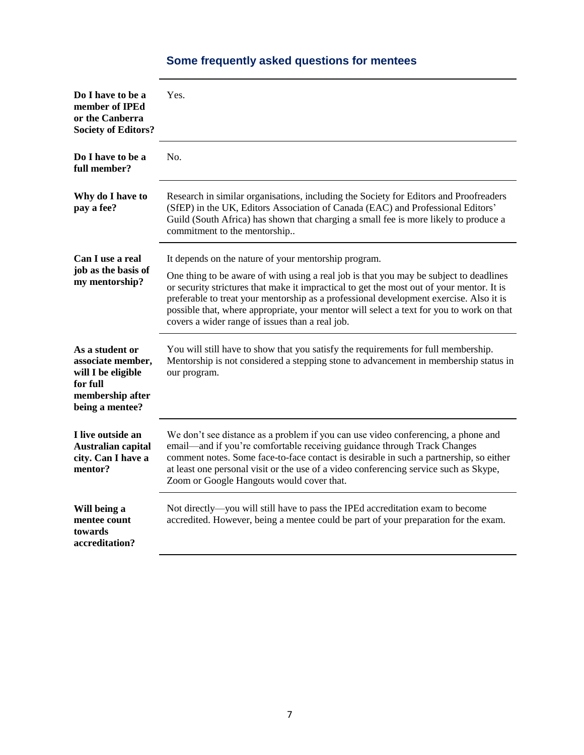#### <span id="page-6-0"></span>**Do I have to be a member of IPEd or the Canberra Society of Editors?** Yes. **Do I have to be a full member?** No. **Why do I have to pay a fee?** Research in similar organisations, including the Society for Editors and Proofreaders (SfEP) in the UK, Editors Association of Canada (EAC) and Professional Editors' Guild (South Africa) has shown that charging a small fee is more likely to produce a commitment to the mentorship.. **Can I use a real job as the basis of my mentorship?** It depends on the nature of your mentorship program. One thing to be aware of with using a real job is that you may be subject to deadlines or security strictures that make it impractical to get the most out of your mentor. It is preferable to treat your mentorship as a professional development exercise. Also it is possible that, where appropriate, your mentor will select a text for you to work on that covers a wider range of issues than a real job. **As a student or associate member, will I be eligible for full membership after being a mentee?** You will still have to show that you satisfy the requirements for full membership. Mentorship is not considered a stepping stone to advancement in membership status in our program. **I live outside an Australian capital city. Can I have a mentor?** We don't see distance as a problem if you can use video conferencing, a phone and email—and if you're comfortable receiving guidance through Track Changes comment notes. Some face-to-face contact is desirable in such a partnership, so either at least one personal visit or the use of a video conferencing service such as Skype, Zoom or Google Hangouts would cover that. **Will being a mentee count towards accreditation?** Not directly—you will still have to pass the IPEd accreditation exam to become accredited. However, being a mentee could be part of your preparation for the exam.

### **Some frequently asked questions for mentees**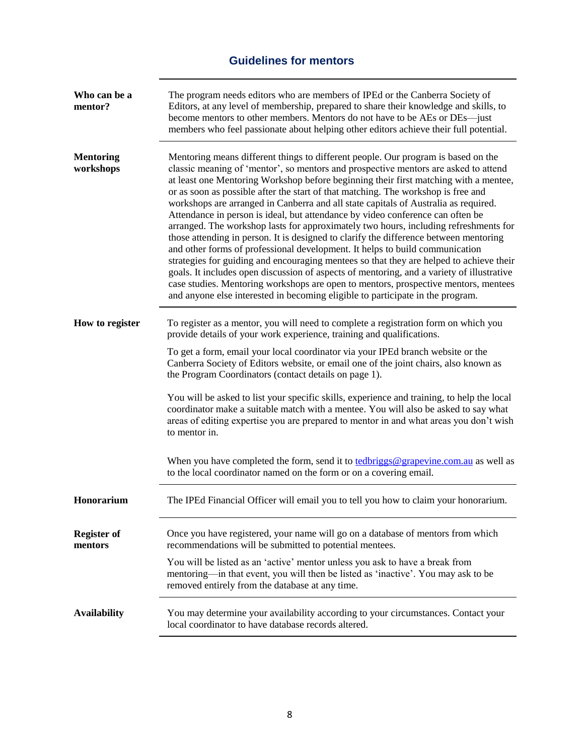# **Guidelines for mentors**

<span id="page-7-0"></span>

| Who can be a<br>mentor?       | The program needs editors who are members of IPEd or the Canberra Society of<br>Editors, at any level of membership, prepared to share their knowledge and skills, to<br>become mentors to other members. Mentors do not have to be AEs or DEs—just<br>members who feel passionate about helping other editors achieve their full potential.                                                                                                                                                                                                                                                                                                                                                                                                                                                                                                                                                                                                                                                                                                                                                                                                                     |
|-------------------------------|------------------------------------------------------------------------------------------------------------------------------------------------------------------------------------------------------------------------------------------------------------------------------------------------------------------------------------------------------------------------------------------------------------------------------------------------------------------------------------------------------------------------------------------------------------------------------------------------------------------------------------------------------------------------------------------------------------------------------------------------------------------------------------------------------------------------------------------------------------------------------------------------------------------------------------------------------------------------------------------------------------------------------------------------------------------------------------------------------------------------------------------------------------------|
| <b>Mentoring</b><br>workshops | Mentoring means different things to different people. Our program is based on the<br>classic meaning of 'mentor', so mentors and prospective mentors are asked to attend<br>at least one Mentoring Workshop before beginning their first matching with a mentee,<br>or as soon as possible after the start of that matching. The workshop is free and<br>workshops are arranged in Canberra and all state capitals of Australia as required.<br>Attendance in person is ideal, but attendance by video conference can often be<br>arranged. The workshop lasts for approximately two hours, including refreshments for<br>those attending in person. It is designed to clarify the difference between mentoring<br>and other forms of professional development. It helps to build communication<br>strategies for guiding and encouraging mentees so that they are helped to achieve their<br>goals. It includes open discussion of aspects of mentoring, and a variety of illustrative<br>case studies. Mentoring workshops are open to mentors, prospective mentors, mentees<br>and anyone else interested in becoming eligible to participate in the program. |
| How to register               | To register as a mentor, you will need to complete a registration form on which you<br>provide details of your work experience, training and qualifications.<br>To get a form, email your local coordinator via your IPEd branch website or the                                                                                                                                                                                                                                                                                                                                                                                                                                                                                                                                                                                                                                                                                                                                                                                                                                                                                                                  |
|                               | Canberra Society of Editors website, or email one of the joint chairs, also known as<br>the Program Coordinators (contact details on page 1).                                                                                                                                                                                                                                                                                                                                                                                                                                                                                                                                                                                                                                                                                                                                                                                                                                                                                                                                                                                                                    |
|                               | You will be asked to list your specific skills, experience and training, to help the local<br>coordinator make a suitable match with a mentee. You will also be asked to say what<br>areas of editing expertise you are prepared to mentor in and what areas you don't wish<br>to mentor in.                                                                                                                                                                                                                                                                                                                                                                                                                                                                                                                                                                                                                                                                                                                                                                                                                                                                     |
|                               | When you have completed the form, send it to tedbriggs@grapevine.com.au as well as<br>to the local coordinator named on the form or on a covering email.                                                                                                                                                                                                                                                                                                                                                                                                                                                                                                                                                                                                                                                                                                                                                                                                                                                                                                                                                                                                         |
| Honorarium                    | The IPEd Financial Officer will email you to tell you how to claim your honorarium.                                                                                                                                                                                                                                                                                                                                                                                                                                                                                                                                                                                                                                                                                                                                                                                                                                                                                                                                                                                                                                                                              |
| <b>Register of</b><br>mentors | Once you have registered, your name will go on a database of mentors from which<br>recommendations will be submitted to potential mentees.                                                                                                                                                                                                                                                                                                                                                                                                                                                                                                                                                                                                                                                                                                                                                                                                                                                                                                                                                                                                                       |
|                               | You will be listed as an 'active' mentor unless you ask to have a break from<br>mentoring—in that event, you will then be listed as 'inactive'. You may ask to be<br>removed entirely from the database at any time.                                                                                                                                                                                                                                                                                                                                                                                                                                                                                                                                                                                                                                                                                                                                                                                                                                                                                                                                             |
| <b>Availability</b>           | You may determine your availability according to your circumstances. Contact your<br>local coordinator to have database records altered.                                                                                                                                                                                                                                                                                                                                                                                                                                                                                                                                                                                                                                                                                                                                                                                                                                                                                                                                                                                                                         |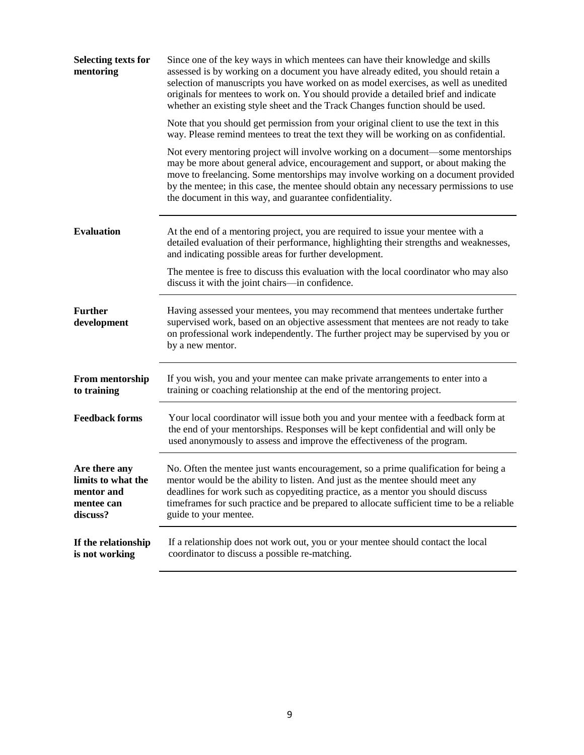| <b>Selecting texts for</b><br>mentoring                                     | Since one of the key ways in which mentees can have their knowledge and skills<br>assessed is by working on a document you have already edited, you should retain a<br>selection of manuscripts you have worked on as model exercises, as well as unedited<br>originals for mentees to work on. You should provide a detailed brief and indicate<br>whether an existing style sheet and the Track Changes function should be used. |
|-----------------------------------------------------------------------------|------------------------------------------------------------------------------------------------------------------------------------------------------------------------------------------------------------------------------------------------------------------------------------------------------------------------------------------------------------------------------------------------------------------------------------|
|                                                                             | Note that you should get permission from your original client to use the text in this<br>way. Please remind mentees to treat the text they will be working on as confidential.                                                                                                                                                                                                                                                     |
|                                                                             | Not every mentoring project will involve working on a document—some mentorships<br>may be more about general advice, encouragement and support, or about making the<br>move to freelancing. Some mentorships may involve working on a document provided<br>by the mentee; in this case, the mentee should obtain any necessary permissions to use<br>the document in this way, and guarantee confidentiality.                      |
| <b>Evaluation</b>                                                           | At the end of a mentoring project, you are required to issue your mentee with a<br>detailed evaluation of their performance, highlighting their strengths and weaknesses,<br>and indicating possible areas for further development.                                                                                                                                                                                                |
|                                                                             | The mentee is free to discuss this evaluation with the local coordinator who may also<br>discuss it with the joint chairs—in confidence.                                                                                                                                                                                                                                                                                           |
| <b>Further</b><br>development                                               | Having assessed your mentees, you may recommend that mentees undertake further<br>supervised work, based on an objective assessment that mentees are not ready to take<br>on professional work independently. The further project may be supervised by you or<br>by a new mentor.                                                                                                                                                  |
| <b>From mentorship</b><br>to training                                       | If you wish, you and your mentee can make private arrangements to enter into a<br>training or coaching relationship at the end of the mentoring project.                                                                                                                                                                                                                                                                           |
| <b>Feedback forms</b>                                                       | Your local coordinator will issue both you and your mentee with a feedback form at<br>the end of your mentorships. Responses will be kept confidential and will only be<br>used anonymously to assess and improve the effectiveness of the program.                                                                                                                                                                                |
| Are there any<br>limits to what the<br>mentor and<br>mentee can<br>discuss? | No. Often the mentee just wants encouragement, so a prime qualification for being a<br>mentor would be the ability to listen. And just as the mentee should meet any<br>deadlines for work such as copyediting practice, as a mentor you should discuss<br>timeframes for such practice and be prepared to allocate sufficient time to be a reliable<br>guide to your mentee.                                                      |
| If the relationship<br>is not working                                       | If a relationship does not work out, you or your mentee should contact the local<br>coordinator to discuss a possible re-matching.                                                                                                                                                                                                                                                                                                 |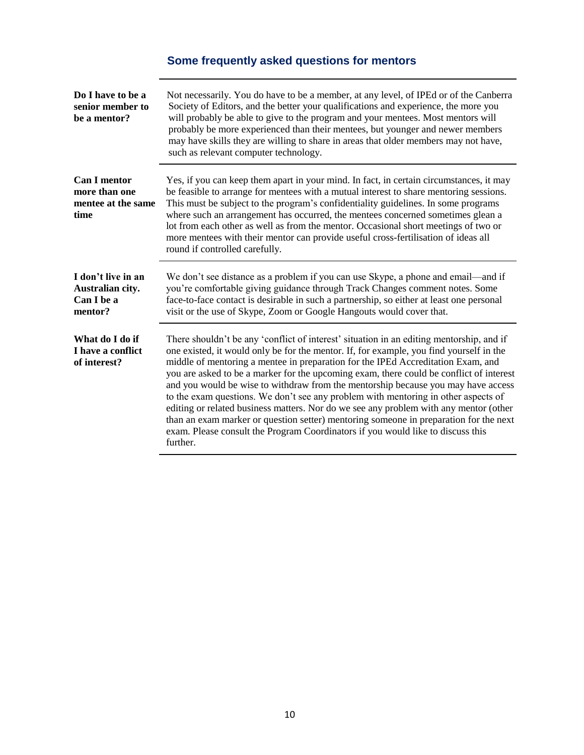# **Some frequently asked questions for mentors**

<span id="page-9-1"></span><span id="page-9-0"></span>

| Do I have to be a<br>senior member to<br>be a mentor?              | Not necessarily. You do have to be a member, at any level, of IPEd or of the Canberra<br>Society of Editors, and the better your qualifications and experience, the more you<br>will probably be able to give to the program and your mentees. Most mentors will<br>probably be more experienced than their mentees, but younger and newer members<br>may have skills they are willing to share in areas that older members may not have,<br>such as relevant computer technology.                                                                                                                                                                                                                                                                                                                                             |
|--------------------------------------------------------------------|--------------------------------------------------------------------------------------------------------------------------------------------------------------------------------------------------------------------------------------------------------------------------------------------------------------------------------------------------------------------------------------------------------------------------------------------------------------------------------------------------------------------------------------------------------------------------------------------------------------------------------------------------------------------------------------------------------------------------------------------------------------------------------------------------------------------------------|
| <b>Can I mentor</b><br>more than one<br>mentee at the same<br>time | Yes, if you can keep them apart in your mind. In fact, in certain circumstances, it may<br>be feasible to arrange for mentees with a mutual interest to share mentoring sessions.<br>This must be subject to the program's confidentiality guidelines. In some programs<br>where such an arrangement has occurred, the mentees concerned sometimes glean a<br>lot from each other as well as from the mentor. Occasional short meetings of two or<br>more mentees with their mentor can provide useful cross-fertilisation of ideas all<br>round if controlled carefully.                                                                                                                                                                                                                                                      |
| I don't live in an<br>Australian city.<br>Can I be a<br>mentor?    | We don't see distance as a problem if you can use Skype, a phone and email—and if<br>you're comfortable giving guidance through Track Changes comment notes. Some<br>face-to-face contact is desirable in such a partnership, so either at least one personal<br>visit or the use of Skype, Zoom or Google Hangouts would cover that.                                                                                                                                                                                                                                                                                                                                                                                                                                                                                          |
| What do I do if<br>I have a conflict<br>of interest?               | There shouldn't be any 'conflict of interest' situation in an editing mentorship, and if<br>one existed, it would only be for the mentor. If, for example, you find yourself in the<br>middle of mentoring a mentee in preparation for the IPEd Accreditation Exam, and<br>you are asked to be a marker for the upcoming exam, there could be conflict of interest<br>and you would be wise to withdraw from the mentorship because you may have access<br>to the exam questions. We don't see any problem with mentoring in other aspects of<br>editing or related business matters. Nor do we see any problem with any mentor (other<br>than an exam marker or question setter) mentoring someone in preparation for the next<br>exam. Please consult the Program Coordinators if you would like to discuss this<br>further. |